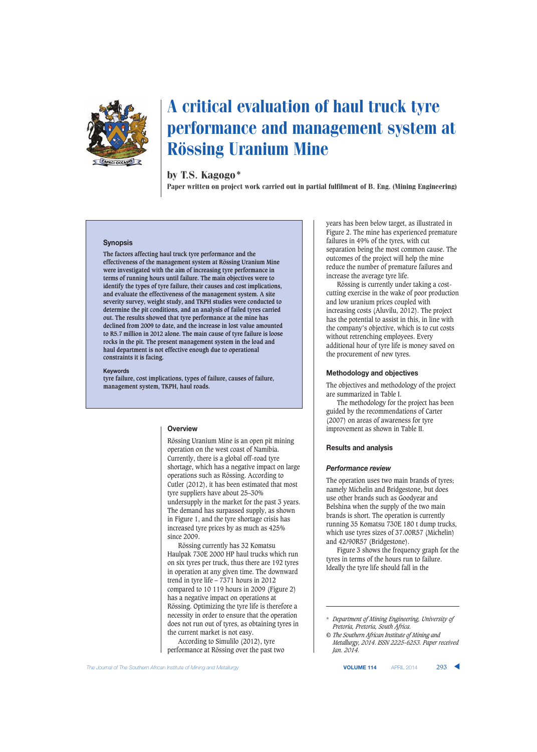

# A critical evaluation of haul truck tyre performance and management system at Rössing Uranium Mine

## by T.S. Kagogo\*

Paper written on project work carried out in partial fulfilment of B. Eng. (Mining Engineering)

#### **Synopsis**

**The factors affecting haul truck tyre performance and the effectiveness of the management system at Rössing Uranium Mine were investigated with the aim of increasing tyre performance in terms of running hours until failure. The main objectives were to identify the types of tyre failure, their causes and cost implications, and evaluate the effectiveness of the management system. A site severity survey, weight study, and TKPH studies were conducted to determine the pit conditions, and an analysis of failed tyres carried out. The results showed that tyre performance at the mine has declined from 2009 to date, and the increase in lost value amounted to R5.7 million in 2012 alone. The main cause of tyre failure is loose rocks in the pit. The present management system in the load and haul department is not effective enough due to operational constraints it is facing.**

#### **Keywords**

**tyre failure, cost implications, types of failure, causes of failure, management system, TKPH, haul roads.**

#### **Overview**

Rössing Uranium Mine is an open pit mining operation on the west coast of Namibia. Currently, there is a global off-road tyre shortage, which has a negative impact on large operations such as Rössing. According to Cutler (2012), it has been estimated that most tyre suppliers have about 25–30% undersupply in the market for the past 3 years. The demand has surpassed supply, as shown in Figure 1, and the tyre shortage crisis has increased tyre prices by as much as 425% since 2009.

Rössing currently has 32 Komatsu Haulpak 730E 2000 HP haul trucks which run on six tyres per truck, thus there are 192 tyres in operation at any given time. The downward trend in tyre life – 7371 hours in 2012 compared to 10 119 hours in 2009 (Figure 2) has a negative impact on operations at Rössing. Optimizing the tyre life is therefore a necessity in order to ensure that the operation does not run out of tyres, as obtaining tyres in the current market is not easy.

According to Simulilo (2012), tyre performance at Rössing over the past two years has been below target, as illustrated in Figure 2. The mine has experienced premature failures in 49% of the tyres, with cut separation being the most common cause. The outcomes of the project will help the mine reduce the number of premature failures and increase the average tyre life.

Rössing is currently under taking a costcutting exercise in the wake of poor production and low uranium prices coupled with increasing costs (Aluvilu, 2012). The project has the potential to assist in this, in line with the company's objective, which is to cut costs without retrenching employees. Every additional hour of tyre life is money saved on the procurement of new tyres.

#### **Methodology and objectives**

The objectives and methodology of the project are summarized in Table I.

The methodology for the project has been guided by the recommendations of Carter (2007) on areas of awareness for tyre improvement as shown in Table II.

### **Results and analysis**

#### *Performance review*

The operation uses two main brands of tyres; namely Michelin and Bridgestone, but does use other brands such as Goodyear and Belshina when the supply of the two main brands is short. The operation is currently running 35 Komatsu 730E 180 t dump trucks, which use tyres sizes of 37.00R57 (Michelin) and 42/90R57 (Bridgestone).

Figure 3 shows the frequency graph for the tyres in terms of the hours run to failure. Ideally the tyre life should fall in the

<sup>\*</sup> *Department of Mining Engineering, University of Pretoria, Pretoria, South Africa.*

*<sup>©</sup> The Southern African Institute of Mining and Metallurgy, 2014. ISSN 2225-6253. Paper received Jan. 2014.*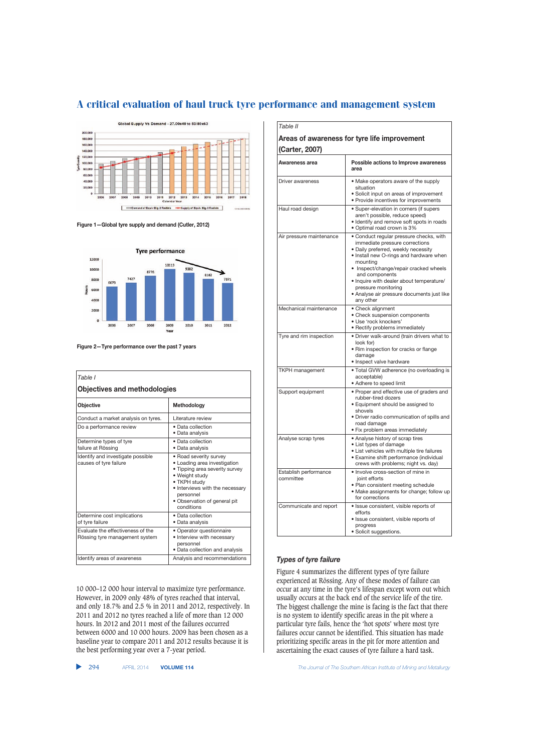

**Figure 1—Global tyre supply and demand (Cutler, 2012)**



**Figure 2—Tyre performance over the past 7 years**

| Table I<br><b>Objectives and methodologies</b>                      |                                                                                                                                                                                                                          |  |
|---------------------------------------------------------------------|--------------------------------------------------------------------------------------------------------------------------------------------------------------------------------------------------------------------------|--|
| Objective                                                           | Methodology                                                                                                                                                                                                              |  |
| Conduct a market analysis on tyres.                                 | Literature review                                                                                                                                                                                                        |  |
| Do a performance review                                             | • Data collection<br>• Data analysis                                                                                                                                                                                     |  |
| Determine types of tyre<br>failure at Rössing                       | · Data collection<br>· Data analysis                                                                                                                                                                                     |  |
| Identify and investigate possible<br>causes of tyre failure         | • Road severity survey<br>• Loading area investigation<br>. Tipping area severity survey<br>• Weight study<br>• TKPH study<br>• Interviews with the necessary<br>personnel<br>• Observation of general pit<br>conditions |  |
| Determine cost implications<br>of tyre failure                      | • Data collection<br>• Data analysis                                                                                                                                                                                     |  |
| Evaluate the effectiveness of the<br>Rössing tyre management system | • Operator questionnaire<br>• Interview with necessary<br>personnel<br>• Data collection and analysis                                                                                                                    |  |
| Identify areas of awareness                                         | Analysis and recommendations                                                                                                                                                                                             |  |

10 000–12 000 hour interval to maximize tyre performance. However, in 2009 only 48% of tyres reached that interval, and only 18.7% and 2.5 % in 2011 and 2012, respectively. In 2011 and 2012 no tyres reached a life of more than 12 000 hours. In 2012 and 2011 most of the failures occurred between 6000 and 10 000 hours. 2009 has been chosen as a baseline year to compare 2011 and 2012 results because it is the best performing year over a 7-year period.

| Table II                                                       |                                                                                                                                                                                                                                                                                                                                                                   |  |  |
|----------------------------------------------------------------|-------------------------------------------------------------------------------------------------------------------------------------------------------------------------------------------------------------------------------------------------------------------------------------------------------------------------------------------------------------------|--|--|
| Areas of awareness for tyre life improvement<br>(Carter, 2007) |                                                                                                                                                                                                                                                                                                                                                                   |  |  |
| Awareness area                                                 | Possible actions to Improve awareness<br>area                                                                                                                                                                                                                                                                                                                     |  |  |
| Driver awareness                                               | • Make operators aware of the supply<br>situation<br>• Solicit input on areas of improvement<br>• Provide incentives for improvements                                                                                                                                                                                                                             |  |  |
| Haul road design                                               | • Super-elevation in corners (if supers<br>aren't possible, reduce speed)<br>• Identify and remove soft spots in roads<br>• Optimal road crown is 3%                                                                                                                                                                                                              |  |  |
| Air pressure maintenance                                       | • Conduct regular pressure checks, with<br>immediate pressure corrections<br>· Daily preferred, weekly necessity<br>• Install new O-rings and hardware when<br>mounting<br>• Inspect/change/repair cracked wheels<br>and components<br>• Inquire with dealer about temperature/<br>pressure monitoring<br>• Analyse air pressure documents just like<br>any other |  |  |
| Mechanical maintenance                                         | • Check alignment<br>• Check suspension components<br>· Use 'rock knockers'<br>• Rectify problems immediately                                                                                                                                                                                                                                                     |  |  |
| Tyre and rim inspection                                        | • Driver walk-around (train drivers what to<br>look for)<br>· Rim inspection for cracks or flange<br>damage<br>• Inspect valve hardware                                                                                                                                                                                                                           |  |  |
| <b>TKPH</b> management                                         | · Total GVW adherence (no overloading is<br>acceptable)<br>• Adhere to speed limit                                                                                                                                                                                                                                                                                |  |  |
| Support equipment                                              | • Proper and effective use of graders and<br>rubber-tired dozers<br>• Equipment should be assigned to<br>shovels<br>· Driver radio communication of spills and<br>road damage<br>• Fix problem areas immediately                                                                                                                                                  |  |  |
| Analyse scrap tyres                                            | • Analyse history of scrap tires<br>• List types of damage<br>• List vehicles with multiple tire failures<br>· Examine shift performance (individual<br>crews with problems; night vs. day)                                                                                                                                                                       |  |  |
| Establish performance<br>committee                             | · Involve cross-section of mine in<br>joint efforts<br>• Plan consistent meeting schedule<br>• Make assignments for change; follow up<br>for corrections                                                                                                                                                                                                          |  |  |
| Communicate and report                                         | · Issue consistent, visible reports of<br>efforts<br>· Issue consistent, visible reports of<br>progress<br>· Solicit suggestions.                                                                                                                                                                                                                                 |  |  |

## *Types of tyre failure*

Figure 4 summarizes the different types of tyre failure experienced at Rössing. Any of these modes of failure can occur at any time in the tyre's lifespan except worn out which usually occurs at the back end of the service life of the tire. The biggest challenge the mine is facing is the fact that there is no system to identify specific areas in the pit where a particular tyre fails, hence the 'hot spots' where most tyre failures occur cannot be identified. This situation has made prioritizing specific areas in the pit for more attention and ascertaining the exact causes of tyre failure a hard task.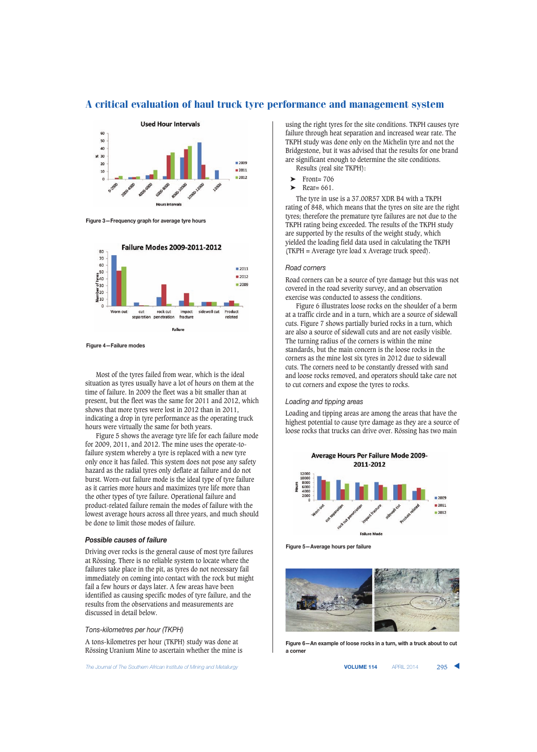

**Figure 3—Frequency graph for average tyre hours**



**Figure 4—Failure modes**

Most of the tyres failed from wear, which is the ideal situation as tyres usually have a lot of hours on them at the time of failure. In 2009 the fleet was a bit smaller than at present, but the fleet was the same for 2011 and 2012, which shows that more tyres were lost in 2012 than in 2011, indicating a drop in tyre performance as the operating truck hours were virtually the same for both years.

Figure 5 shows the average tyre life for each failure mode for 2009, 2011, and 2012. The mine uses the operate-tofailure system whereby a tyre is replaced with a new tyre only once it has failed. This system does not pose any safety hazard as the radial tyres only deflate at failure and do not burst. Worn-out failure mode is the ideal type of tyre failure as it carries more hours and maximizes tyre life more than the other types of tyre failure. Operational failure and product-related failure remain the modes of failure with the lowest average hours across all three years, and much should be done to limit those modes of failure.

## *Possible causes of failure*

Driving over rocks is the general cause of most tyre failures at Rössing. There is no reliable system to locate where the failures take place in the pit, as tyres do not necessary fail immediately on coming into contact with the rock but might fail a few hours or days later. A few areas have been identified as causing specific modes of tyre failure, and the results from the observations and measurements are discussed in detail below.

#### *Tons-kilometres per hour (TKPH)*

A tons-kilometres per hour (TKPH) study was done at Rössing Uranium Mine to ascertain whether the mine is

The Journal of The Southern African Institute of Mining and Metallurgy **VOLUME 114** APRIL 2014 **295 \ 2014** 

using the right tyres for the site conditions. TKPH causes tyre failure through heat separation and increased wear rate. The TKPH study was done only on the Michelin tyre and not the Bridgestone, but it was advised that the results for one brand are significant enough to determine the site conditions. Results (real site TKPH):

- $\blacktriangleright$  Front= 706
- ➤ Rear= 661.

The tyre in use is a 37.00R57 XDR B4 with a TKPH rating of 848, which means that the tyres on site are the right tyres; therefore the premature tyre failures are not due to the TKPH rating being exceeded. The results of the TKPH study are supported by the results of the weight study, which yielded the loading field data used in calculating the TKPH (TKPH = Average tyre load x Average truck speed).

#### *Road corners*

Road corners can be a source of tyre damage but this was not covered in the road severity survey, and an observation exercise was conducted to assess the conditions.

Figure 6 illustrates loose rocks on the shoulder of a berm at a traffic circle and in a turn, which are a source of sidewall cuts. Figure 7 shows partially buried rocks in a turn, which are also a source of sidewall cuts and are not easily visible. The turning radius of the corners is within the mine standards, but the main concern is the loose rocks in the corners as the mine lost six tyres in 2012 due to sidewall cuts. The corners need to be constantly dressed with sand and loose rocks removed, and operators should take care not to cut corners and expose the tyres to rocks.

#### *Loading and tipping areas*

Loading and tipping areas are among the areas that have the highest potential to cause tyre damage as they are a source of loose rocks that trucks can drive over. Rössing has two main



**Figure 5—Average hours per failure**



**Figure 6—An example of loose rocks in a turn, with a truck about to cut a corner**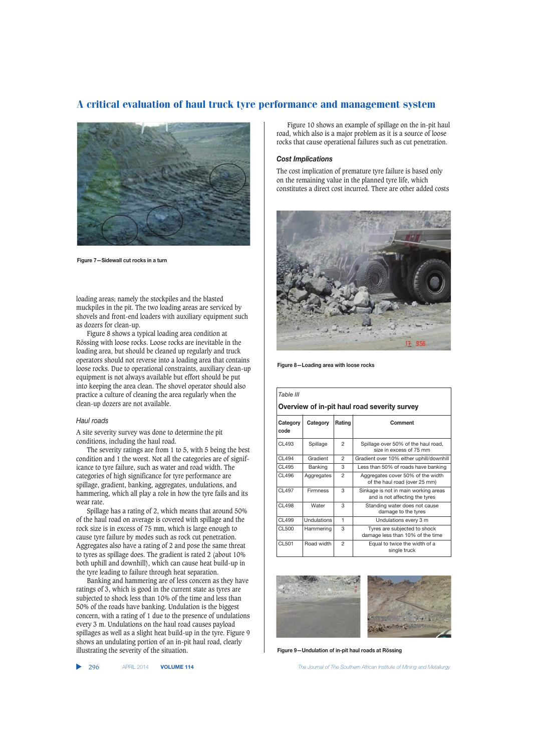

**Figure 7—Sidewall cut rocks in a turn**

loading areas; namely the stockpiles and the blasted muckpiles in the pit. The two loading areas are serviced by shovels and front-end loaders with auxiliary equipment such as dozers for clean-up.

Figure 8 shows a typical loading area condition at Rössing with loose rocks. Loose rocks are inevitable in the loading area, but should be cleaned up regularly and truck operators should not reverse into a loading area that contains loose rocks. Due to operational constraints, auxiliary clean-up equipment is not always available but effort should be put into keeping the area clean. The shovel operator should also practice a culture of cleaning the area regularly when the clean-up dozers are not available.

#### *Haul roads*

A site severity survey was done to determine the pit conditions, including the haul road.

The severity ratings are from 1 to 5, with 5 being the best condition and 1 the worst. Not all the categories are of significance to tyre failure, such as water and road width. The categories of high significance for tyre performance are spillage, gradient, banking, aggregates, undulations, and hammering, which all play a role in how the tyre fails and its wear rate.

Spillage has a rating of 2, which means that around 50% of the haul road on average is covered with spillage and the rock size is in excess of 75 mm, which is large enough to cause tyre failure by modes such as rock cut penetration. Aggregates also have a rating of 2 and pose the same threat to tyres as spillage does. The gradient is rated 2 (about 10% both uphill and downhill), which can cause heat build-up in the tyre leading to failure through heat separation.

Banking and hammering are of less concern as they have ratings of 3, which is good in the current state as tyres are subjected to shock less than 10% of the time and less than 50% of the roads have banking. Undulation is the biggest concern, with a rating of 1 due to the presence of undulations every 3 m. Undulations on the haul road causes payload spillages as well as a slight heat build-up in the tyre. Figure 9 shows an undulating portion of an in-pit haul road, clearly illustrating the severity of the situation.

Figure 10 shows an example of spillage on the in-pit haul road, which also is a major problem as it is a source of loose rocks that cause operational failures such as cut penetration.

#### *Cost Implications*

The cost implication of premature tyre failure is based only on the remaining value in the planned tyre life, which constitutes a direct cost incurred. There are other added costs



**Figure 8—Loading area with loose rocks**

| Table III                                    |                    |                |                                                                        |  |
|----------------------------------------------|--------------------|----------------|------------------------------------------------------------------------|--|
| Overview of in-pit haul road severity survey |                    |                |                                                                        |  |
| Category<br>code                             | Category           | Rating         | Comment                                                                |  |
| CL493                                        | Spillage           | $\mathfrak{p}$ | Spillage over 50% of the haul road,<br>size in excess of 75 mm         |  |
| CI 494                                       | Gradient           | 2              | Gradient over 10% either uphill/downhill                               |  |
| CL495                                        | Banking            | 3              | Less than 50% of roads have banking                                    |  |
| CL496                                        | Aggregates         | 2              | Aggregates cover 50% of the width<br>of the haul road (over 25 mm)     |  |
| <b>CL497</b>                                 | Firmness           | 3              | Sinkage is not in main working areas<br>and is not affecting the tyres |  |
| <b>CL498</b>                                 | Water              | 3              | Standing water does not cause<br>damage to the tyres                   |  |
| CL499                                        | <b>Undulations</b> | 1              | Undulations every 3 m                                                  |  |
| <b>CL500</b>                                 | Hammering          | 3              | Tyres are subjected to shock<br>damage less than 10% of the time       |  |
| CL501                                        | Road width         | $\mathfrak{p}$ | Equal to twice the width of a<br>single truck                          |  |



**Figure 9—Undulation of in-pit haul roads at Rössing**

▲

296 APRIL 2014 **VOLUME 114** *The Journal of The Southern African Institute of Mining and Metallurgy*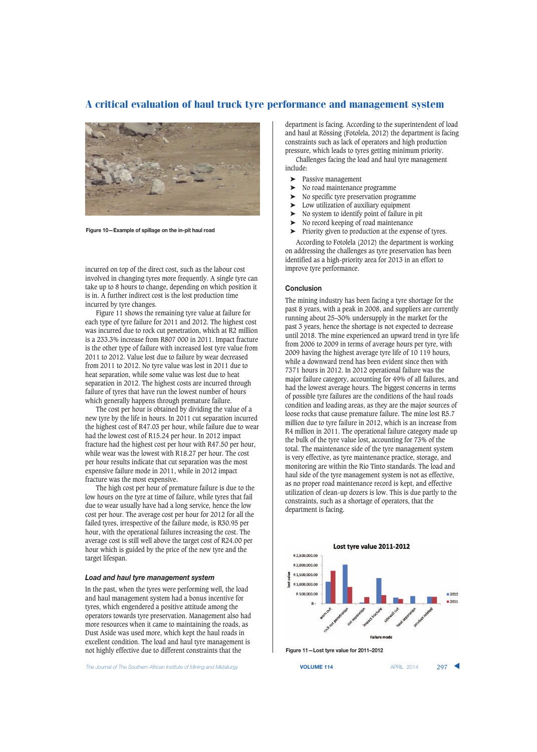

**Figure 10—Example of spillage on the in-pit haul road**

incurred on top of the direct cost, such as the labour cost involved in changing tyres more frequently. A single tyre can take up to 8 hours to change, depending on which position it is in. A further indirect cost is the lost production time incurred by tyre changes.

Figure 11 shows the remaining tyre value at failure for each type of tyre failure for 2011 and 2012. The highest cost was incurred due to rock cut penetration, which at R2 million is a 233.3% increase from R807 000 in 2011. Impact fracture is the other type of failure with increased lost tyre value from 2011 to 2012. Value lost due to failure by wear decreased from 2011 to 2012. No tyre value was lost in 2011 due to heat separation, while some value was lost due to heat separation in 2012. The highest costs are incurred through failure of tyres that have run the lowest number of hours which generally happens through premature failure.

The cost per hour is obtained by dividing the value of a new tyre by the life in hours. In 2011 cut separation incurred the highest cost of R47.03 per hour, while failure due to wear had the lowest cost of R15.24 per hour. In 2012 impact fracture had the highest cost per hour with R47.50 per hour, while wear was the lowest with R18.27 per hour. The cost per hour results indicate that cut separation was the most expensive failure mode in 2011, while in 2012 impact fracture was the most expensive.

The high cost per hour of premature failure is due to the low hours on the tyre at time of failure, while tyres that fail due to wear usually have had a long service, hence the low cost per hour. The average cost per hour for 2012 for all the failed tyres, irrespective of the failure mode, is R30.95 per hour, with the operational failures increasing the cost. The average cost is still well above the target cost of R24.00 per hour which is guided by the price of the new tyre and the target lifespan.

### *Load and haul tyre management system*

In the past, when the tyres were performing well, the load and haul management system had a bonus incentive for tyres, which engendered a positive attitude among the operators towards tyre preservation. Management also had more resources when it came to maintaining the roads, as Dust Aside was used more, which kept the haul roads in excellent condition. The load and haul tyre management is not highly effective due to different constraints that the

**The Journal of The Southern African Institute of Mining and Metallurgy <b>VOLUME 114 VOLUME 114 APRIL 2014** 297

department is facing. According to the superintendent of load and haul at Rössing (Fotolela, 2012) the department is facing constraints such as lack of operators and high production pressure, which leads to tyres getting minimum priority. Challenges facing the load and haul tyre management include:

- ➤ Passive management
- 
- $\triangleright$  No road maintenance programme<br> $\triangleright$  No specific tyre preservation progr No specific tyre preservation programme
- ➤ Low utilization of auxiliary equipment
- ➤ No system to identify point of failure in pit
- ➤ No record keeping of road maintenance
- ➤ Priority given to production at the expense of tyres.

According to Fotolela (2012) the department is working on addressing the challenges as tyre preservation has been identified as a high-priority area for 2013 in an effort to improve tyre performance.

#### **Conclusion**

The mining industry has been facing a tyre shortage for the past 8 years, with a peak in 2008, and suppliers are currently running about 25–30% undersupply in the market for the past 3 years, hence the shortage is not expected to decrease until 2018. The mine experienced an upward trend in tyre life from 2006 to 2009 in terms of average hours per tyre, with 2009 having the highest average tyre life of 10 119 hours, while a downward trend has been evident since then with 7371 hours in 2012. In 2012 operational failure was the major failure category, accounting for 49% of all failures, and had the lowest average hours. The biggest concerns in terms of possible tyre failures are the conditions of the haul roads condition and loading areas, as they are the major sources of loose rocks that cause premature failure. The mine lost R5.7 million due to tyre failure in 2012, which is an increase from R4 million in 2011. The operational failure category made up the bulk of the tyre value lost, accounting for 73% of the total. The maintenance side of the tyre management system is very effective, as tyre maintenance practice, storage, and monitoring are within the Rio Tinto standards. The load and haul side of the tyre management system is not as effective, as no proper road maintenance record is kept, and effective utilization of clean-up dozers is low. This is due partly to the constraints, such as a shortage of operators, that the department is facing.